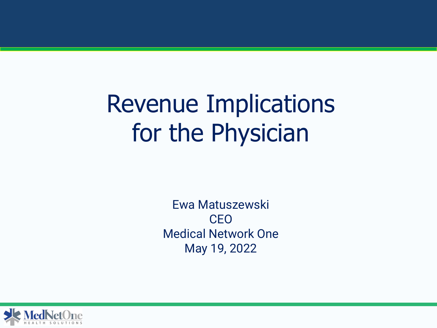# Revenue Implications for the Physician

Ewa Matuszewski **CEO** Medical Network One May 19, 2022

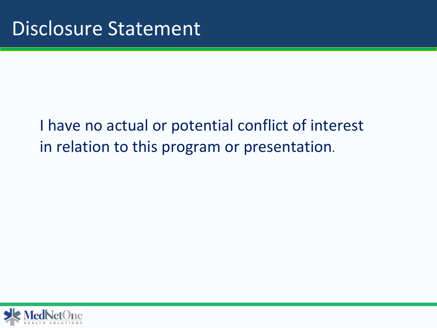#### I have no actual or potential conflict of interest in relation to this program or presentation.

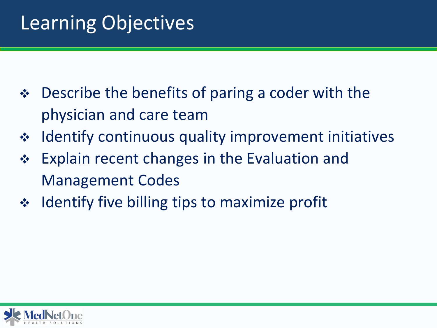#### Learning Objectives

- ◆ Describe the benefits of paring a coder with the physician and care team
- $\cdot$  Identify continuous quality improvement initiatives
- **Explain recent changes in the Evaluation and** Management Codes
- $\div$  Identify five billing tips to maximize profit

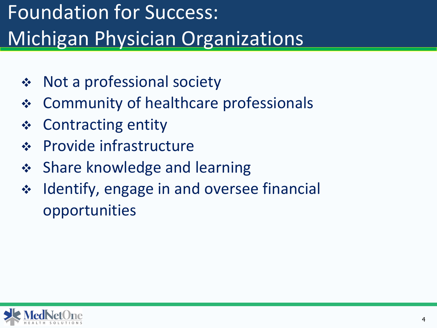## Foundation for Success: Michigan Physician Organizations

- ◆ Not a professional society
- Community of healthcare professionals
- **❖** Contracting entity
- ❖ Provide infrastructure
- **❖** Share knowledge and learning
- ❖ Identify, engage in and oversee financial opportunities

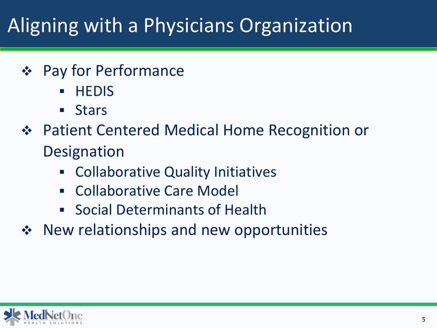#### Aligning with a Physicians Organization

- Pay for Performance
	- $\blacksquare$  HEDIS
	- **Stars**
- ◆ Patient Centered Medical Home Recognition or **Designation** 
	- **EXALGO COLLACTE COLLACTE COLLACTE COLLACTE COLLACTE COLLACTE**
	- **Earth Collaborative Care Model**
	- **Social Determinants of Health**
- ❖ New relationships and new opportunities

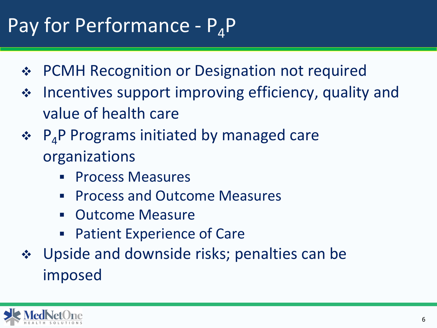### Pay for Performance -  $P_4P$

- ❖ PCMH Recognition or Designation not required
- ❖ Incentives support improving efficiency, quality and value of health care
- $\div$  P<sub>4</sub>P Programs initiated by managed care organizations
	- Process Measures
	- **Process and Outcome Measures**
	- Outcome Measure
	- **Patient Experience of Care**
- Upside and downside risks; penalties can be imposed

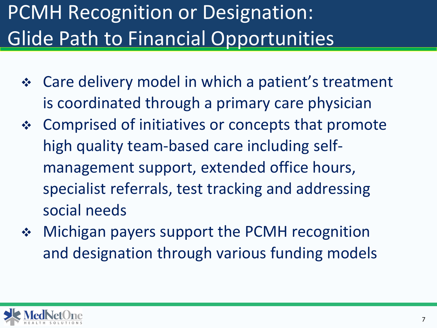### PCMH Recognition or Designation: Glide Path to Financial Opportunities

- Care delivery model in which a patient's treatment is coordinated through a primary care physician
- Comprised of initiatives or concepts that promote high quality team-based care including selfmanagement support, extended office hours, specialist referrals, test tracking and addressing social needs
- ◆ Michigan payers support the PCMH recognition and designation through various funding models

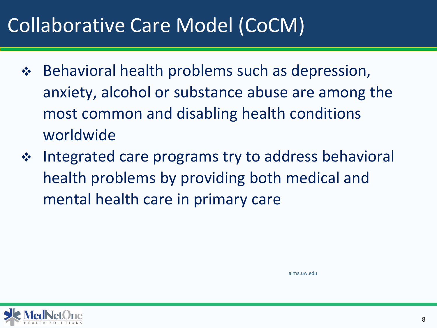#### Collaborative Care Model (CoCM)

- $\div$  Behavioral health problems such as depression, anxiety, alcohol or substance abuse are among the most common and disabling health conditions worldwide
- ❖ Integrated care programs try to address behavioral health problems by providing both medical and mental health care in primary care

aims.uw.edu

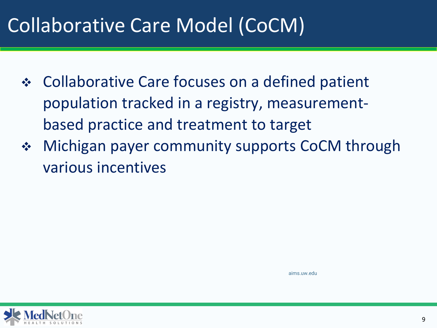#### Collaborative Care Model (CoCM)

- Collaborative Care focuses on a defined patient population tracked in a registry, measurementbased practice and treatment to target
- ◆ Michigan payer community supports CoCM through various incentives

aims.uw.edu

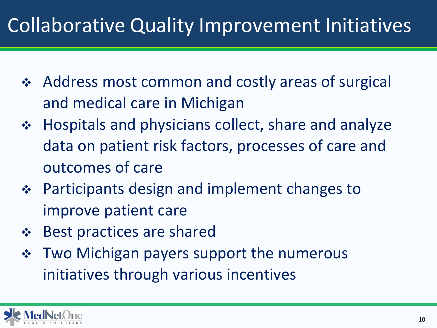#### Collaborative Quality Improvement Initiatives

- ◆ Address most common and costly areas of surgical and medical care in Michigan
- ◆ Hospitals and physicians collect, share and analyze data on patient risk factors, processes of care and outcomes of care
- ❖ Participants design and implement changes to improve patient care
- ◆ Best practices are shared
- **❖** Two Michigan payers support the numerous initiatives through various incentives

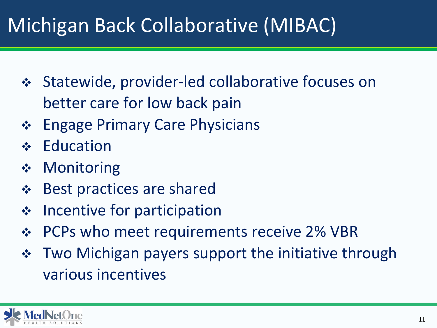#### Michigan Back Collaborative (MIBAC)

- ◆ Statewide, provider-led collaborative focuses on better care for low back pain
- **❖** Engage Primary Care Physicians
- **❖** Education
- **❖** Monitoring
- ❖ Best practices are shared
- ❖ Incentive for participation
- ◆ PCPs who meet requirements receive 2% VBR
- **\*** Two Michigan payers support the initiative through various incentives

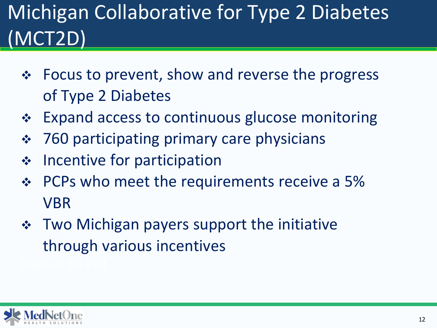### Michigan Collaborative for Type 2 Diabetes (MCT2D)

- Focus to prevent, show and reverse the progress of Type 2 Diabetes
- Expand access to continuous glucose monitoring
- ❖ 760 participating primary care physicians
- $\div$  Incentive for participation
- PCPs who meet the requirements receive a 5% VBR
- $\div$  Two Michigan payers support the initiative through various incentives

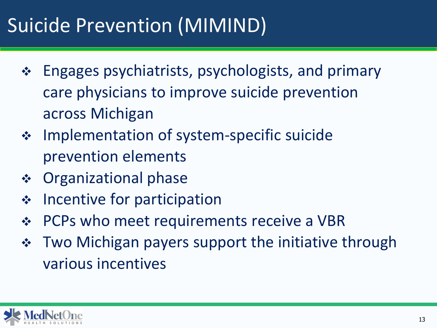### Suicide Prevention (MIMIND)

- Engages psychiatrists, psychologists, and primary care physicians to improve suicide prevention across Michigan
- ◆ Implementation of system-specific suicide prevention elements
- **❖** Organizational phase
- $\div$  Incentive for participation
- ◆ PCPs who meet requirements receive a VBR
- ◆ Two Michigan payers support the initiative through various incentives

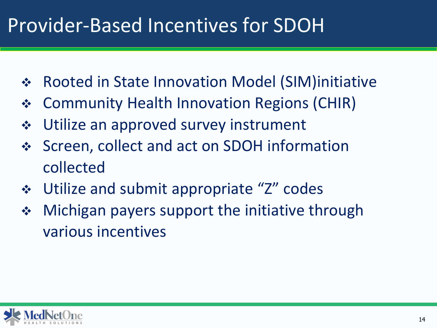#### Provider-Based Incentives for SDOH

- ◆ Rooted in State Innovation Model (SIM)initiative
- ◆ Community Health Innovation Regions (CHIR)
- Utilize an approved survey instrument
- ◆ Screen, collect and act on SDOH information collected
- Utilize and submit appropriate "Z" codes
- ◆ Michigan payers support the initiative through various incentives

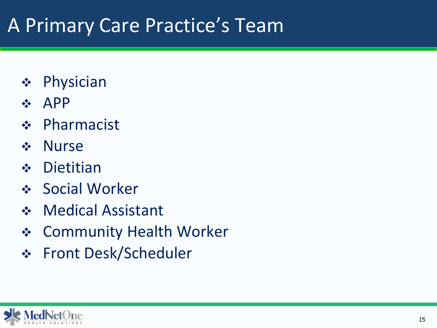#### A Primary Care Practice's Team

- Physician
- $\div$  APP
- Pharmacist
- ❖ Nurse
- **❖** Dietitian
- Social Worker
- ❖ Medical Assistant
- **❖ Community Health Worker**
- Front Desk/Scheduler

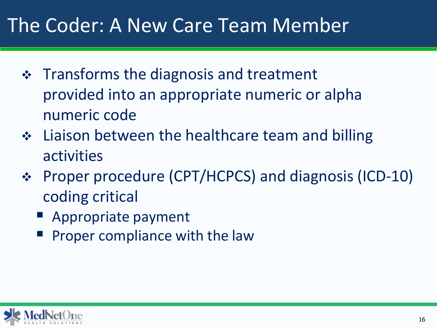#### The Coder: A New Care Team Member

- $\div$  Transforms the diagnosis and treatment provided into an appropriate numeric or alpha numeric code
- **❖** Liaison between the healthcare team and billing activities
- Proper procedure (CPT/HCPCS) and diagnosis (ICD-10) coding critical
	- **Appropriate payment**
	- Proper compliance with the law

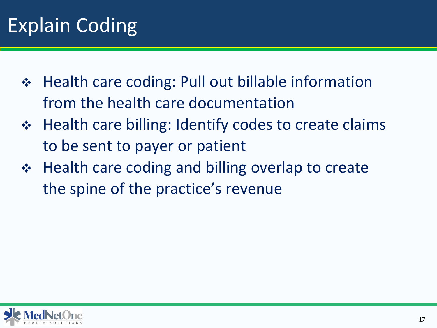#### Explain Coding

- ◆ Health care coding: Pull out billable information from the health care documentation
- ◆ Health care billing: Identify codes to create claims to be sent to payer or patient
- ❖ Health care coding and billing overlap to create the spine of the practice's revenue

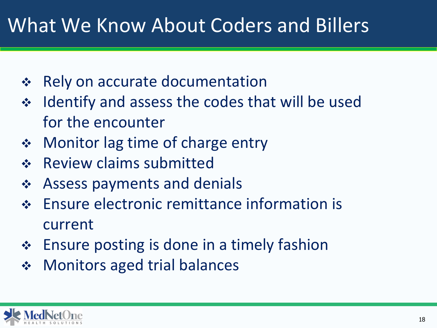#### What We Know About Coders and Billers

- \* Rely on accurate documentation
- ◆ Identify and assess the codes that will be used for the encounter
- ◆ Monitor lag time of charge entry
- ◆ Review claims submitted
- Assess payments and denials
- Ensure electronic remittance information is current
- **Ensure posting is done in a timely fashion**
- **❖** Monitors aged trial balances

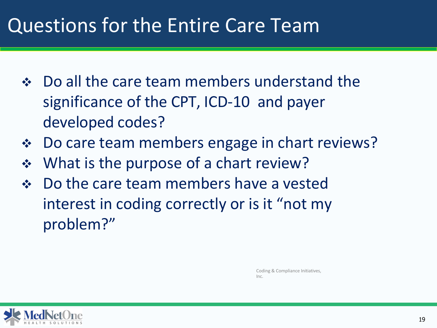#### Questions for the Entire Care Team

- ◆ Do all the care team members understand the significance of the CPT, ICD-10 and payer developed codes?
- ◆ Do care team members engage in chart reviews?
- ◆ What is the purpose of a chart review?
- Do the care team members have a vested interest in coding correctly or is it "not my problem?"

Coding & Compliance Initiatives, Inc.

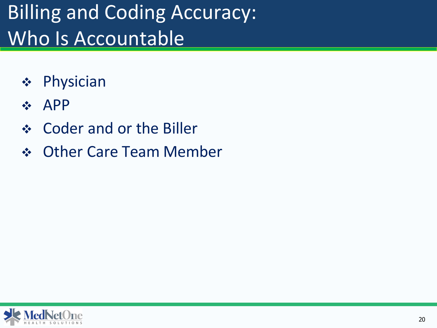### Billing and Coding Accuracy: Who Is Accountable

- Physician
- $\div$  APP
- Coder and or the Biller
- Other Care Team Member

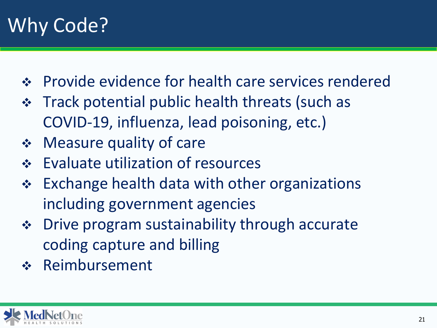#### Why Code?

- Provide evidence for health care services rendered
- Track potential public health threats (such as COVID-19, influenza, lead poisoning, etc.)
- ◆ Measure quality of care
- Evaluate utilization of resources
- Exchange health data with other organizations including government agencies
- ◆ Drive program sustainability through accurate coding capture and billing
- Reimbursement

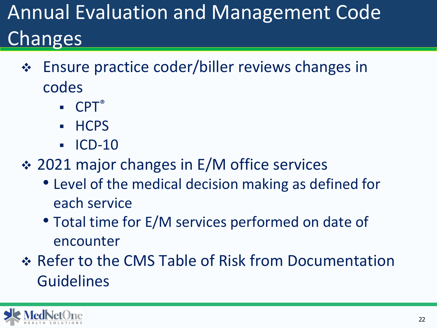### Annual Evaluation and Management Code **Changes**

- Ensure practice coder/biller reviews changes in codes
	- $\blacksquare$  CPT®
	- **HCPS**
	- $\blacksquare$  ICD-10
- **❖ 2021 major changes in E/M office services** 
	- Level of the medical decision making as defined for each service
	- Total time for E/M services performed on date of encounter
- \* Refer to the CMS Table of Risk from Documentation Guidelines

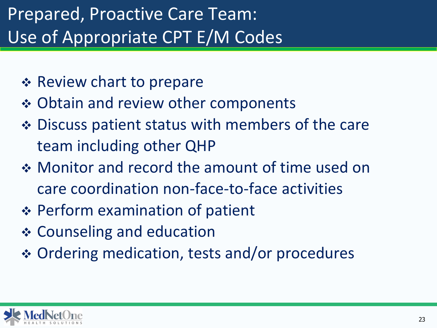- **Exercise Prepare ☆** Review chart to prepare
- **❖ Obtain and review other components**
- ◆ Discuss patient status with members of the care team including other QHP
- Monitor and record the amount of time used on care coordination non-face-to-face activities
- ◆ Perform examination of patient
- **❖ Counseling and education**
- Ordering medication, tests and/or procedures

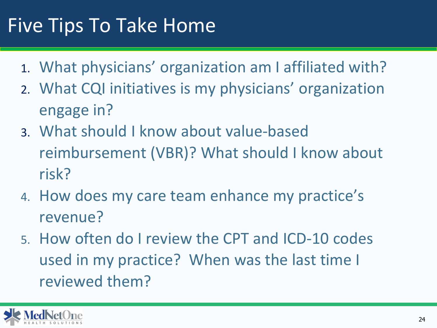#### Five Tips To Take Home

- 1. What physicians' organization am I affiliated with?
- 2. What CQI initiatives is my physicians' organization engage in?
- 3. What should I know about value-based reimbursement (VBR)? What should I know about risk?
- 4. How does my care team enhance my practice's revenue?
- 5. How often do I review the CPT and ICD-10 codes used in my practice? When was the last time I reviewed them?

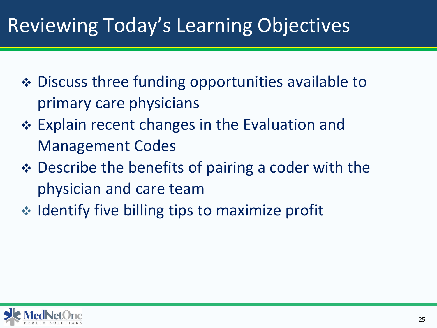#### Reviewing Today's Learning Objectives

- **❖** Discuss three funding opportunities available to primary care physicians
- **❖ Explain recent changes in the Evaluation and** Management Codes
- ◆ Describe the benefits of pairing a coder with the physician and care team
- $\cdot$  Identify five billing tips to maximize profit